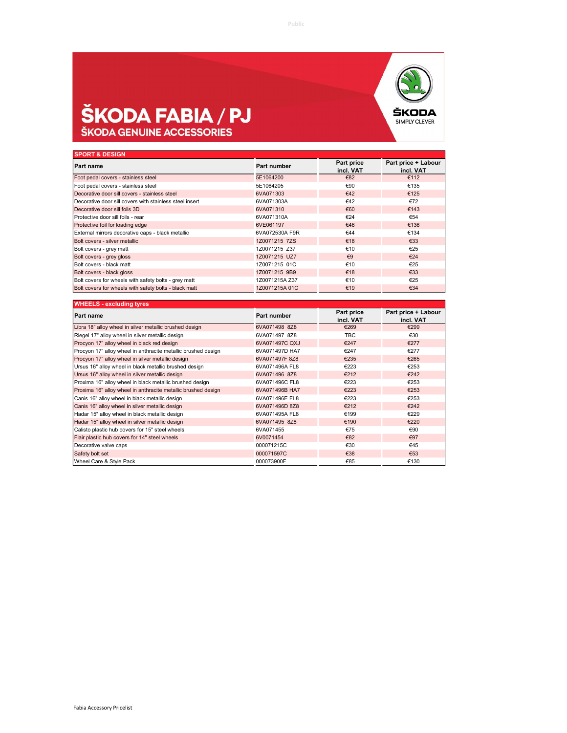## **ŠKODA FABIA / PJ**<br>ŠKODA GENUINE ACCESSORIES



| <b>SPORT &amp; DESIGN</b>                               |                |                         |                                  |
|---------------------------------------------------------|----------------|-------------------------|----------------------------------|
| Part name                                               | Part number    | Part price<br>incl. VAT | Part price + Labour<br>incl. VAT |
| Foot pedal covers - stainless steel                     | 5E1064200      | €82                     | €112                             |
| Foot pedal covers - stainless steel                     | 5E1064205      | €90                     | €135                             |
| Decorative door sill covers - stainless steel           | 6VA071303      | €42                     | €125                             |
| Decorative door sill covers with stainless steel insert | 6VA071303A     | €42                     | €72                              |
| Decorative door sill foils 3D                           | 6VA071310      | €60                     | €143                             |
| Protective door sill foils - rear                       | 6VA071310A     | €24                     | €54                              |
| Protective foil for loading edge                        | 6VE061197      | €46                     | €136                             |
| External mirrors decorative caps - black metallic       | 6VA072530A F9R | €44                     | €134                             |
| Bolt covers - silver metallic                           | 1Z0071215 7ZS  | €18                     | €33                              |
| Bolt covers - grey matt                                 | 1Z0071215 Z37  | €10                     | €25                              |
| Bolt covers - grey gloss                                | 1Z0071215 UZ7  | $\epsilon$ 9            | €24                              |
| Bolt covers - black matt                                | 1Z0071215 01C  | €10                     | €25                              |
| Bolt covers - black gloss                               | 1Z0071215 9B9  | €18                     | €33                              |
| Bolt covers for wheels with safety bolts - grey matt    | 1Z0071215A Z37 | €10                     | €25                              |
| Bolt covers for wheels with safety bolts - black matt   | 1Z0071215A 01C | €19                     | €34                              |

| <b>WHEELS - excluding tyres</b>                               |                |                         |                                  |
|---------------------------------------------------------------|----------------|-------------------------|----------------------------------|
| <b>Part name</b>                                              | Part number    | Part price<br>incl. VAT | Part price + Labour<br>incl. VAT |
| Libra 18" alloy wheel in silver metallic brushed design       | 6VA071498 8Z8  | €269                    | €299                             |
| Riegel 17" alloy wheel in silver metallic design              | 6VA071497 8Z8  | <b>TBC</b>              | €30                              |
| Procyon 17" alloy wheel in black red design                   | 6VA071497C QXJ | €247                    | €277                             |
| Procyon 17" alloy wheel in anthracite metallic brushed design | 6VA071497D HA7 | €247                    | €277                             |
| Procyon 17" alloy wheel in silver metallic design             | 6VA071497F 8Z8 | €235                    | €265                             |
| Ursus 16" alloy wheel in black metallic brushed design        | 6VA071496A FL8 | €223                    | €253                             |
| Ursus 16" alloy wheel in silver metallic design               | 6VA071496 8Z8  | €212                    | €242                             |
| Proxima 16" alloy wheel in black metallic brushed design      | 6VA071496C FL8 | €223                    | €253                             |
| Proxima 16" alloy wheel in anthracite metallic brushed design | 6VA071496B HA7 | €223                    | €253                             |
| Canis 16" alloy wheel in black metallic design                | 6VA071496E FL8 | €223                    | €253                             |
| Canis 16" alloy wheel in silver metallic design               | 6VA071496D 8Z8 | €212                    | €242                             |
| Hadar 15" alloy wheel in black metallic design                | 6VA071495A FL8 | €199                    | €229                             |
| Hadar 15" alloy wheel in silver metallic design               | 6VA071495 8Z8  | €190                    | €220                             |
| Calisto plastic hub covers for 15" steel wheels               | 6VA071455      | €75                     | €90                              |
| Flair plastic hub covers for 14" steel wheels                 | 6V0071454      | €82                     | €97                              |
| Decorative valve caps                                         | 000071215C     | €30                     | €45                              |
| Safety bolt set                                               | 000071597C     | €38                     | €53                              |
| Wheel Care & Style Pack                                       | 000073900F     | €85                     | €130                             |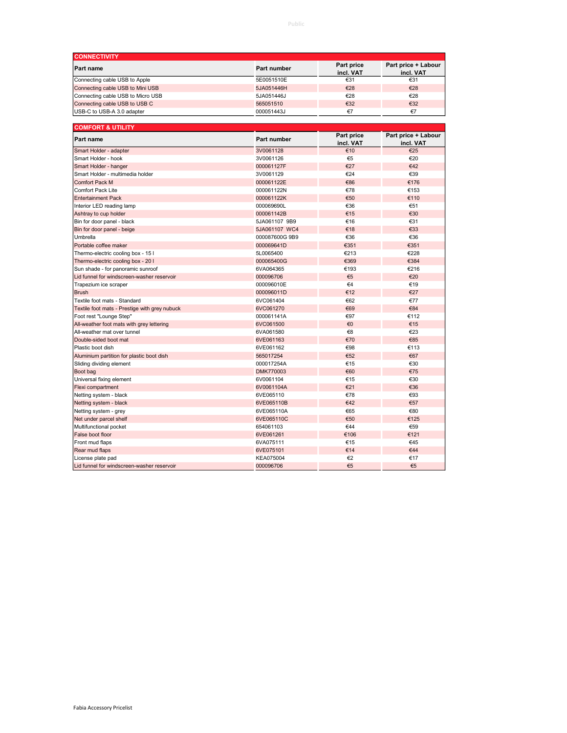| <b>CONNECTIVITY</b>               |             |                         |                                  |
|-----------------------------------|-------------|-------------------------|----------------------------------|
| <b>Part name</b>                  | Part number | Part price<br>incl. VAT | Part price + Labour<br>incl. VAT |
| Connecting cable USB to Apple     | 5E0051510E  | €31                     | €31                              |
| Connecting cable USB to Mini USB  | 5JA051446H  | €28                     | €28                              |
| Connecting cable USB to Micro USB | 5JA051446J  | €28                     | €28                              |
| Connecting cable USB to USB C     | 565051510   | €32                     | €32                              |
| USB-C to USB-A 3.0 adapter        | 000051443J  | €7                      | €7                               |

| <b>COMFORT &amp; UTILITY</b>                  |                |                         |                                  |
|-----------------------------------------------|----------------|-------------------------|----------------------------------|
| Part name                                     | Part number    | Part price<br>incl. VAT | Part price + Labour<br>incl. VAT |
| Smart Holder - adapter                        | 3V0061128      | €10                     | €25                              |
| Smart Holder - hook                           | 3V0061126      | €5                      | €20                              |
| Smart Holder - hanger                         | 000061127F     | €27                     | €42                              |
| Smart Holder - multimedia holder              | 3V0061129      | €24                     | €39                              |
| <b>Comfort Pack M</b>                         | 000061122E     | €86                     | €176                             |
| Comfort Pack Lite                             | 000061122N     | €78                     | €153                             |
| <b>Entertainment Pack</b>                     | 000061122K     | €50                     | €110                             |
| Interior LED reading lamp                     | 000069690L     | €36                     | €51                              |
| Ashtray to cup holder                         | 000061142B     | €15                     | €30                              |
| Bin for door panel - black                    | 5JA061107 9B9  | €16                     | €31                              |
| Bin for door panel - beige                    | 5JA061107 WC4  | €18                     | €33                              |
| Umbrella                                      | 000087600G 9B9 | €36                     | €36                              |
| Portable coffee maker                         | 000069641D     | €351                    | €351                             |
| Thermo-electric cooling box - 15 I            | 5L0065400      | €213                    | €228                             |
| Thermo-electric cooling box - 20 I            | 000065400G     | €369                    | €384                             |
| Sun shade - for panoramic sunroof             | 6VA064365      | €193                    | €216                             |
| Lid funnel for windscreen-washer reservoir    | 000096706      | €5                      | €20                              |
| Trapezium ice scraper                         | 000096010E     | $\epsilon$ 4            | €19                              |
| <b>Brush</b>                                  | 000096011D     | €12                     | €27                              |
| Textile foot mats - Standard                  | 6VC061404      | €62                     | €77                              |
| Textile foot mats - Prestige with grey nubuck | 6VC061270      | €69                     | €84                              |
| Foot rest "Lounge Step"                       | 000061141A     | €97                     | €112                             |
| All-weather foot mats with grey lettering     | 6VC061500      | €0                      | €15                              |
| All-weather mat over tunnel                   | 6VA061580      | €8                      | €23                              |
| Double-sided boot mat                         | 6VE061163      | €70                     | €85                              |
| Plastic boot dish                             | 6VE061162      | €98                     | €113                             |
| Aluminium partition for plastic boot dish     | 565017254      | €52                     | €67                              |
| Sliding dividing element                      | 000017254A     | €15                     | €30                              |
| Boot bag                                      | DMK770003      | €60                     | €75                              |
| Universal fixing element                      | 6V0061104      | €15                     | €30                              |
| Flexi compartment                             | 6V0061104A     | €21                     | €36                              |
| Netting system - black                        | 6VE065110      | €78                     | €93                              |
| Netting system - black                        | 6VE065110B     | €42                     | €57                              |
| Netting system - grey                         | 6VE065110A     | €65                     | €80                              |
| Net under parcel shelf                        | 6VE065110C     | €50                     | €125                             |
| Multifunctional pocket                        | 654061103      | €44                     | €59                              |
| False boot floor                              | 6VE061261      | €106                    | €121                             |
| Front mud flaps                               | 6VA075111      | €15                     | €45                              |
| Rear mud flaps                                | 6VE075101      | €14                     | €44                              |
| License plate pad                             | KEA075004      | €2                      | €17                              |
| Lid funnel for windscreen-washer reservoir    | 000096706      | €5                      | €5                               |